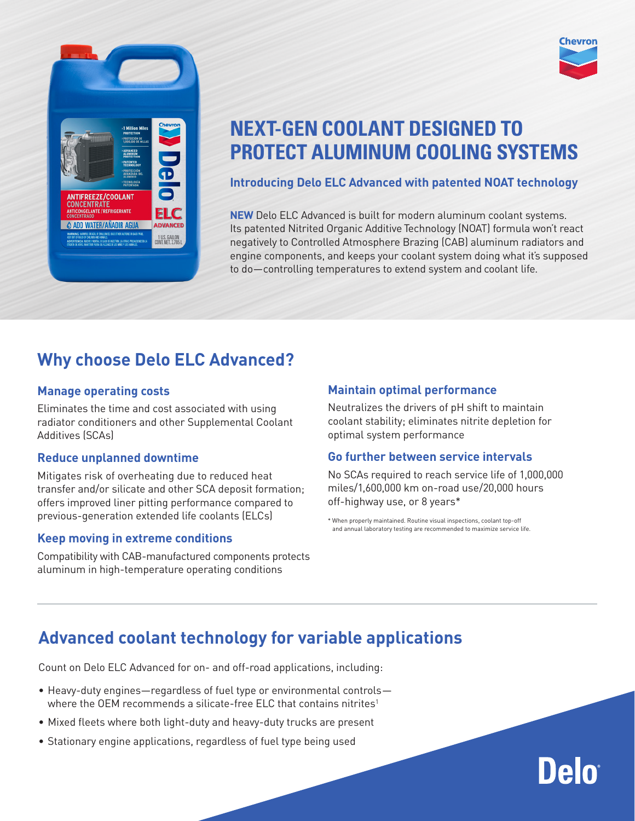

# **NEXT-GEN COOLANT DESIGNED TO PROTECT ALUMINUM COOLING SYSTEMS**

#### **Introducing Delo ELC Advanced with patented NOAT technology**

**NEW** Delo ELC Advanced is built for modern aluminum coolant systems. Its patented Nitrited Organic Additive Technology (NOAT) formula won't react negatively to Controlled Atmosphere Brazing (CAB) aluminum radiators and engine components, and keeps your coolant system doing what it's supposed to do—controlling temperatures to extend system and coolant life.

### **Why choose Delo ELC Advanced?**

#### **Manage operating costs**

Eliminates the time and cost associated with using radiator conditioners and other Supplemental Coolant Additives (SCAs)

#### **Reduce unplanned downtime**

Mitigates risk of overheating due to reduced heat transfer and/or silicate and other SCA deposit formation; offers improved liner pitting performance compared to previous-generation extended life coolants (ELCs)

#### **Keep moving in extreme conditions**

Compatibility with CAB-manufactured components protects aluminum in high-temperature operating conditions

#### **Maintain optimal performance**

Neutralizes the drivers of pH shift to maintain coolant stability; eliminates nitrite depletion for optimal system performance

#### **Go further between service intervals**

No SCAs required to reach service life of 1,000,000 miles/1,600,000 km on-road use/20,000 hours off-highway use, or 8 years\*

\* When properly maintained. Routine visual inspections, coolant top-off and annual laboratory testing are recommended to maximize service life.

### **Advanced coolant technology for variable applications**

Count on Delo ELC Advanced for on- and off-road applications, including:

- Heavy-duty engines—regardless of fuel type or environmental controls where the OEM recommends a silicate-free ELC that contains nitrites<sup>1</sup>
- Mixed fleets where both light-duty and heavy-duty trucks are present
- Stationary engine applications, regardless of fuel type being used